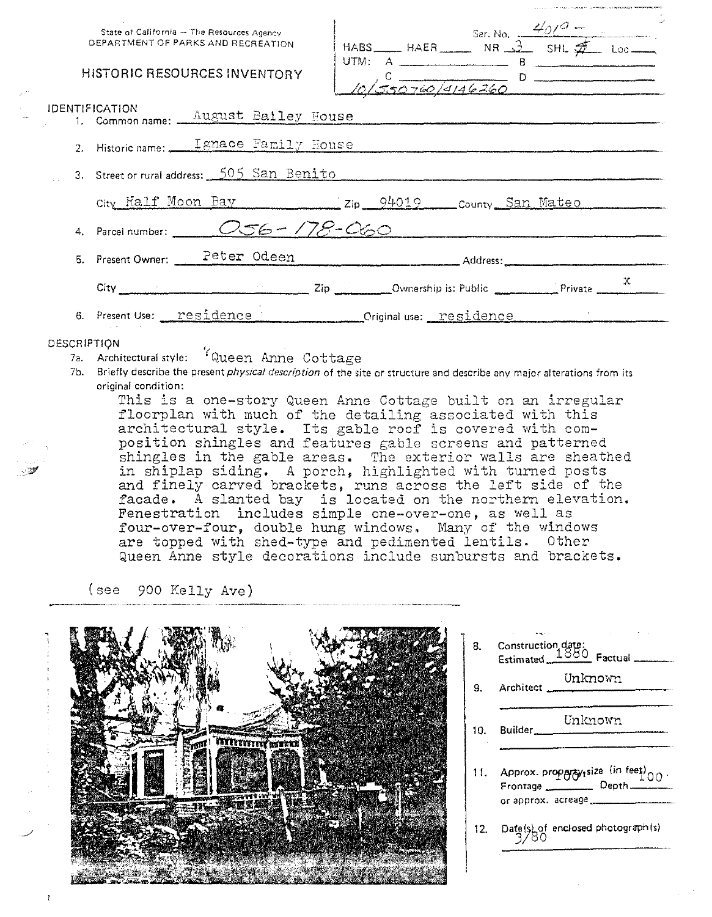|             |                       | State of California - The Resources Agency<br>DEPARTMENT OF PARKS AND RECREATION                                                         |  | HABS HAER Ser. No. $\frac{4/0.07}{5}$ Loc         |  |
|-------------|-----------------------|------------------------------------------------------------------------------------------------------------------------------------------|--|---------------------------------------------------|--|
|             |                       | <b>HISTORIC RESOURCES INVENTORY</b>                                                                                                      |  | 10/550760/4146260                                 |  |
|             | <b>IDENTIFICATION</b> | 1. Common name: <u>August Bailey House</u>                                                                                               |  |                                                   |  |
|             |                       | 2. Historic name: <u>Ignace Family House</u>                                                                                             |  |                                                   |  |
|             |                       | 3. Street or rural address: 505 San Benito                                                                                               |  |                                                   |  |
|             |                       |                                                                                                                                          |  | City Half Moon Bay 2ip 94019 County San Mateo     |  |
|             |                       | 4. Parcel number: $\_\_$ $\_\_$ $\_\_$ $\_\_$ $\_\_$ $\_\_$ $\_\_$ $\_\_$ $\_\_$ $\_\_$ $\_\_$ $\_\_$ $\_\_$ $\_\_$ $\_\_$ $\_\_$ $\_\_$ |  |                                                   |  |
|             |                       |                                                                                                                                          |  | 5. Present Owner: Peter Odeen Manuel Address:     |  |
|             |                       |                                                                                                                                          |  |                                                   |  |
|             |                       |                                                                                                                                          |  | 6. Present Use: residence criginal use: residence |  |
| DESCRIPTION |                       |                                                                                                                                          |  |                                                   |  |
|             |                       | 7a. Architectural style: 'Queen Anne Cottage                                                                                             |  |                                                   |  |

7b. Briefly describe the present *physical description* of the site or structure and describe any major alterations from its original condition:

This is a one-story Queen Anne Cottage built on an irregular floorplan with much of the detailing associated with this architectural style. Its gable roof is covered with composition shingles and features gable screens and patterned shingles in the gable areas. The exterior walls are sheathed in shiplap siding. A porch, highlighted with turned posts and finely carved brackets, runs across the left side of the facade. A slanted bay is located on the northern elevation. Fenestration includes simple one-over-one, as well as four-over-four, double hung windows. Many of the windows are topped with shed-type and pedimented lentils. Other Queen Anne style decorations include sunbursts and brackets.

(see 900 Kelly Ave)



8. Construction date: Estimated 1880 Factual 9. Architect Unknown Unknolr!'. 10, Builder \_\_\_\_\_\_\_\_\_ \_ 11. Approx. proparty<sub>i</sub>size <sup>(in feet)</sup>00.<br>Frontage Depth Frontage Depth\_<br>or approx. acreage 12. Date(s) of enclosed photograph (s)  $3/80$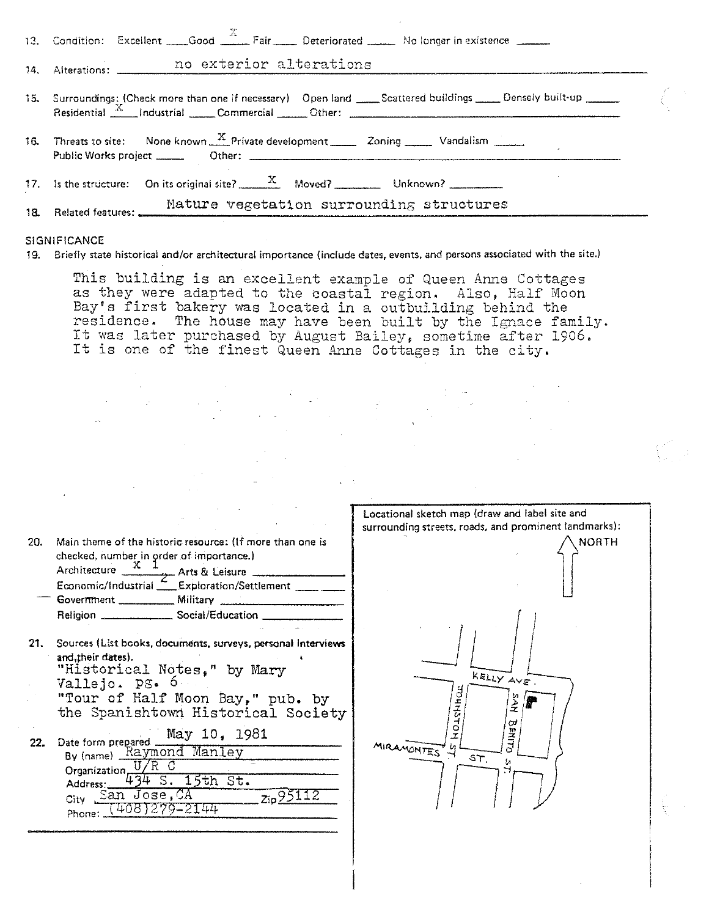| 13. Condition: Excellent Good Fair Pair Deteriorated No longer in existence                                                                                                                                                                                                                                                                          |  |  |
|------------------------------------------------------------------------------------------------------------------------------------------------------------------------------------------------------------------------------------------------------------------------------------------------------------------------------------------------------|--|--|
| 14. Alterations: no exterior alterations                                                                                                                                                                                                                                                                                                             |  |  |
| 15. Surroundings: Check more than one if necessary) Open land ____Scattered buildings _____Densely built-up ______<br>Residential X Industrial Commercial Other: 2011 Commercial Commercial Commercial Commercial Commercial Commercial Commercial Commercial Commercial Commercial Commercial Commercial Commercial Commercial Commercial Commercia |  |  |
| 16. Threats to site: None known $\frac{X}{X}$ Private development 20ning 20ning Vandalism                                                                                                                                                                                                                                                            |  |  |
| 17. Is the structure: On its original site? $\frac{X}{x}$ Moved? Unknown?                                                                                                                                                                                                                                                                            |  |  |
| Mature vegetation surrounding structures<br>Mature ve Mature ve                                                                                                                                                                                                                                                                                      |  |  |

## SIGNIFICANCE

**19. Briefly state historical and/or architectural importance (include dates. events, and persons associated with the site.)** 

This building is an excellent example of Queen Anne Cottages as they were adapted to the coastal region. Also, Half Moon Bay's first bakery was located in a outbuilding behind the residence. The house may have been built by the Ignace family. It was later purchased by August Bailey, sometime after 1906. It was fattly purchased by August Dariey, sometime after.<br>It is one of the finest Queen Anne Cottages in the city.

|            |                                                                                                                                                                                                                                                                                                                                                                                           | Locational sketch map (draw and label site and<br>surrounding streets, roads, and prominent landmarks): |
|------------|-------------------------------------------------------------------------------------------------------------------------------------------------------------------------------------------------------------------------------------------------------------------------------------------------------------------------------------------------------------------------------------------|---------------------------------------------------------------------------------------------------------|
| 20.        | Main theme of the historic resource: (If more than one is<br>checked, number in order of importance.)<br>Architecture $\frac{X-1}{X}$ Arts & Leisure<br>Economic/Industrial Exploration/Settlement _____<br>Government __________ Military _________________<br>Religion _________________ Social/Education ______                                                                        | <b>NORTH</b>                                                                                            |
|            |                                                                                                                                                                                                                                                                                                                                                                                           |                                                                                                         |
| 21.<br>22. | Sources (List books, documents, surveys, personal interviews<br>and, their dates).<br>"Historical Notes." by Mary<br>Vallejo. PS. 6<br>"Tour of Half Moon Bay," pub. by<br>the Spanishtown Historical Society<br>May 10, 1981<br>Date form prepared<br>By (name) Raymond Manley<br>Organization <sub>-</sub><br>$S. 15th$ $St.$<br>Address:<br>San Jose, CA<br>Zip95112<br>City<br>Phone: | KELLY AVE.<br>ż<br>α<br>o<br>포<br>MIRAMONTES'<br>⊣<br>ST                                                |
|            |                                                                                                                                                                                                                                                                                                                                                                                           |                                                                                                         |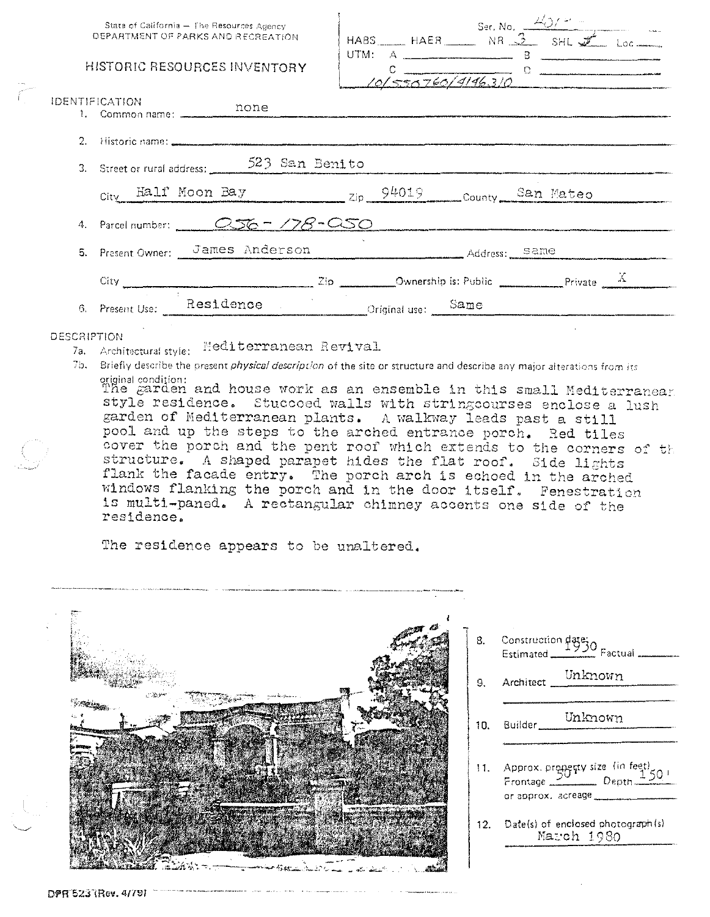| State of California - The Resources Agency<br>DEPARTMENT OF PARKS AND RECREATION | HABS HAER Ser. No. $\frac{\angle O/P}{}$ = Loc<br>UTM: $A$ $\frac{1}{2}$ $B$ $\frac{1}{2}$ $B$ $\frac{1}{2}$ $B$ $\frac{1}{2}$ $B$ $\frac{1}{2}$ $B$ $\frac{1}{2}$ $B$ $\frac{1}{2}$ $B$ $\frac{1}{2}$ $B$ $\frac{1}{2}$ $B$ $\frac{1}{2}$ $B$ $\frac{1}{2}$ $B$ $\frac{1}{2}$ $B$ $\frac{1}{2}$ $B$ $\frac{1}{2}$ $B$ $\frac{1}{2}$ $B$ $\$<br>$\frac{c}{10\sqrt{550760/9196.310}}$ |  |  |
|----------------------------------------------------------------------------------|--------------------------------------------------------------------------------------------------------------------------------------------------------------------------------------------------------------------------------------------------------------------------------------------------------------------------------------------------------------------------------------|--|--|
| HISTORIC RESOURCES INVENTORY                                                     |                                                                                                                                                                                                                                                                                                                                                                                      |  |  |
| IDENTIFICATION<br>none<br>1. Common name: __________                             |                                                                                                                                                                                                                                                                                                                                                                                      |  |  |
|                                                                                  |                                                                                                                                                                                                                                                                                                                                                                                      |  |  |
| 3. Street or rural address: 523 San Benito                                       |                                                                                                                                                                                                                                                                                                                                                                                      |  |  |
|                                                                                  | City Half Moon Bay zip 94019 County San Mateo                                                                                                                                                                                                                                                                                                                                        |  |  |
|                                                                                  | 4. Parcel number: 056 - 178 - 050                                                                                                                                                                                                                                                                                                                                                    |  |  |
| 5. Present Owner: James Anderson Address: Same                                   |                                                                                                                                                                                                                                                                                                                                                                                      |  |  |
|                                                                                  | City $\frac{Zip}{\sqrt{2}}$ Dip $\frac{Qm}{\sqrt{2}}$ Ownership is: Public $\frac{X}{\sqrt{2}}$                                                                                                                                                                                                                                                                                      |  |  |
| 6. Present Use: Residence Criginal use: Same                                     |                                                                                                                                                                                                                                                                                                                                                                                      |  |  |

## **DESCRIPTION**

7a. Architectural style: Mediterranean Revival

7b. Briefly describe the present *physical description* of the site or structure and describe any major alterations from its

original condition:<br>The garden and house work as an ensemble in this small Mediterranear style residence. Stuccoed walls with stringcourses enclose a lush garden of Mediterranean plants. A walkway leads past a still pool and up the steps to the arched entrance porch. Red tiles cover the porch and the pent roof which extends to the corners of the structure. A shaped parapet hides the flat roof. Side lights flank the facade entry. The porch arch is echoed in the arched windows flanking the porch and in the door itself. Fenestration is multi-paned. A rectangular chimney accents one side of the residence.

The residence appears to be unaltered.



Construction  $\frac{d^2B^2}{1930}$  Factual -Unknown Architect Unknown Builder, 11. Approx. property size (in feet)<br>Frontage Depth or approx, acreage 12. Date(s) of enclosed photograph(s) March 1980